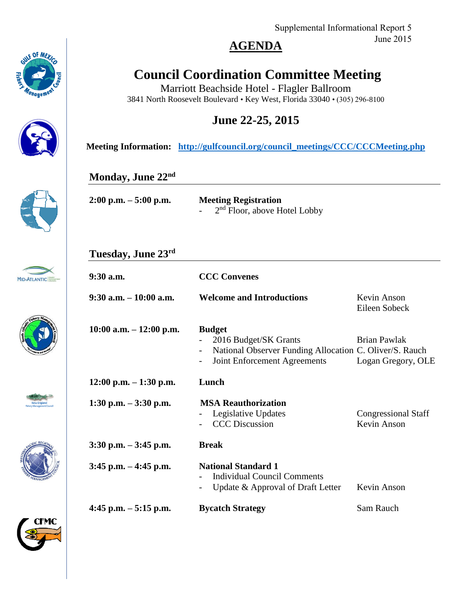Supplemental Informational Report 5 June 2015

### **AGENDA**

# **Council Coordination Committee Meeting**

Marriott Beachside Hotel - Flagler Ballroom 3841 North Roosevelt Boulevard • Key West, Florida 33040 • (305) 296-8100

### **June 22-25, 2015**

**Meeting Information: [http://gulfcouncil.org/council\\_meetings/CCC/CCCMeeting.php](http://gulfcouncil.org/council_meetings/CCC/CCCMeeting.php)**

#### **Monday, June 22nd**

| $2:00$ p.m. $-5:00$ p.m. | <b>Meeting Registration</b>    |  |
|--------------------------|--------------------------------|--|
|                          | $2nd$ Floor, above Hotel Lobby |  |

#### **Tuesday, June 23rd**

| $9:30$ a.m.                | <b>CCC Convenes</b>                                                                                                               |                                           |
|----------------------------|-----------------------------------------------------------------------------------------------------------------------------------|-------------------------------------------|
| $9:30$ a.m. $-10:00$ a.m.  | <b>Welcome and Introductions</b>                                                                                                  | Kevin Anson<br>Eileen Sobeck              |
| $10:00$ a.m. $-12:00$ p.m. | <b>Budget</b><br>2016 Budget/SK Grants<br>National Observer Funding Allocation C. Oliver/S. Rauch<br>Joint Enforcement Agreements | Brian Pawlak<br>Logan Gregory, OLE        |
| $12:00$ p.m. $-1:30$ p.m.  | Lunch                                                                                                                             |                                           |
| 1:30 p.m. $-3:30$ p.m.     | <b>MSA Reauthorization</b><br>Legislative Updates<br>$\overline{\phantom{a}}$<br><b>CCC</b> Discussion                            | <b>Congressional Staff</b><br>Kevin Anson |
| $3:30$ p.m. $-3:45$ p.m.   | <b>Break</b>                                                                                                                      |                                           |
| $3:45$ p.m. $-4:45$ p.m.   | <b>National Standard 1</b><br>Individual Council Comments<br>Update & Approval of Draft Letter<br>$\overline{\phantom{a}}$        | Kevin Anson                               |
| 4:45 p.m. $-5:15$ p.m.     | <b>Bycatch Strategy</b>                                                                                                           | Sam Rauch                                 |